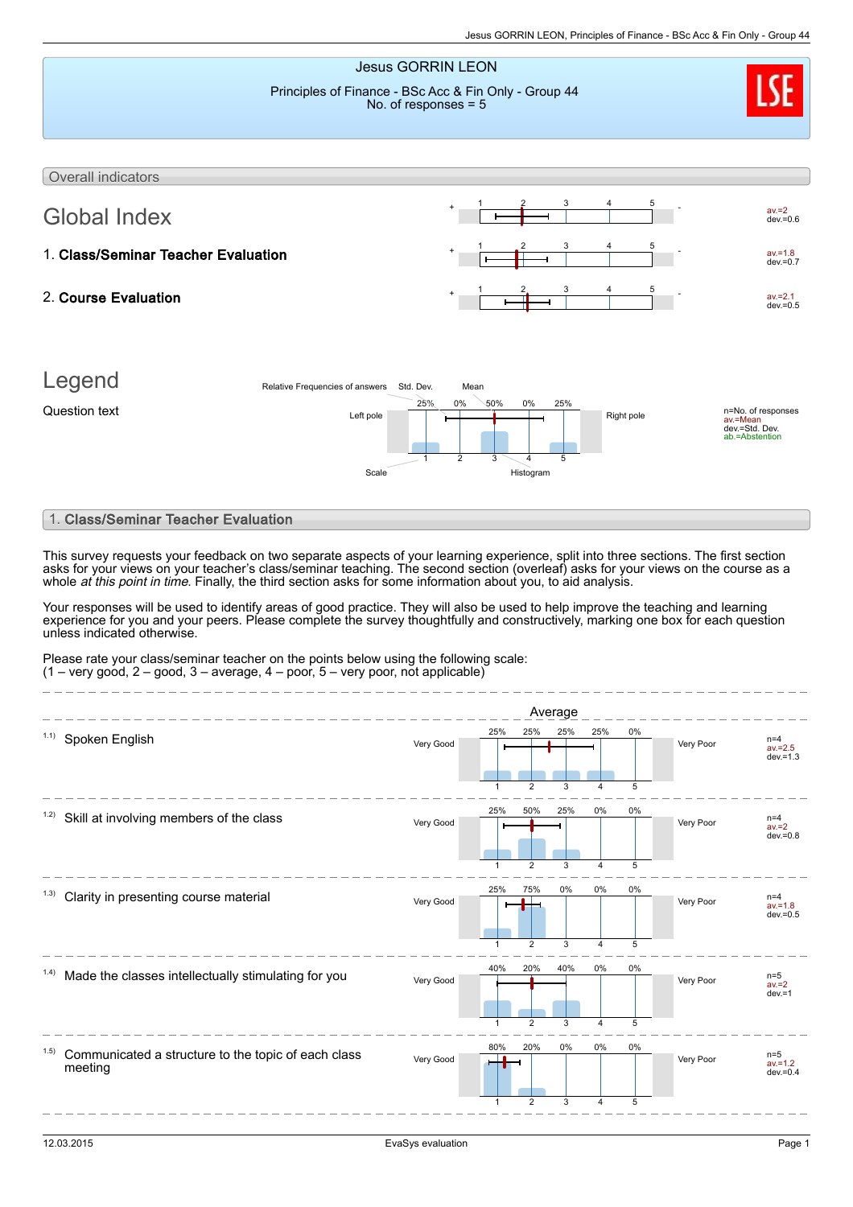

## 1. Class/Seminar Teacher Evaluation

This survey requests your feedback on two separate aspects of your learning experience, split into three sections. The first section asks for your views on your teacher's class/seminar teaching. The second section (overleaf) asks for your views on the course as a whole *at this point in time*. Finally, the third section asks for some information about you, to aid analysis.

Your responses will be used to identify areas of good practice. They will also be used to help improve the teaching and learning experience for you and your peers. Please complete the survey thoughtfully and constructively, marking one box for each question unless indicated otherwise.

Please rate your class/seminar teacher on the points below using the following scale:  $(1 - \text{very good}, 2 - \text{good}, 3 - \text{average}, 4 - \text{poor}, 5 - \text{very poor}, \text{not applicable})$ 

|                 |                                                     |           |              |                | Average |       |       |           |                                    |
|-----------------|-----------------------------------------------------|-----------|--------------|----------------|---------|-------|-------|-----------|------------------------------------|
| 1.1)            | Spoken English                                      | Very Good | 25%          | 25%            | 25%     | 25%   | $0\%$ | Very Poor | $n=4$<br>$av = 2.5$<br>$dev = 1.3$ |
|                 |                                                     |           | 1            | $\overline{2}$ | 3       | 4     | 5     |           |                                    |
| 1.2)            | Skill at involving members of the class             | Very Good | 25%          | 50%            | 25%     | 0%    | $0\%$ | Very Poor | $n=4$<br>$av = 2$<br>$dev = 0.8$   |
|                 |                                                     |           | $\mathbf 1$  | $\overline{2}$ | 3       | 4     | 5     |           |                                    |
| (1.3)           | Clarity in presenting course material               | Very Good | 25%          | 75%            | 0%      | $0\%$ | $0\%$ | Very Poor | $n=4$<br>$av = 1.8$<br>$dev = 0.5$ |
|                 |                                                     |           | 1            | 2              | 3       | 4     | 5     |           |                                    |
| (1.4)           | Made the classes intellectually stimulating for you | Very Good | 40%          | 20%            | 40%     | 0%    | 0%    | Very Poor | $n=5$<br>$av = 2$<br>$dev = 1$     |
|                 |                                                     |           | $\mathbf{1}$ | $\overline{2}$ | 3       | 4     | 5     |           |                                    |
| 1.5)<br>meeting | Communicated a structure to the topic of each class | Very Good | 80%          | 20%            | 0%      | 0%    | 0%    | Very Poor | $n=5$<br>$av = 1.2$<br>$dev = 0.4$ |
|                 |                                                     |           | $\mathbf{1}$ | $\overline{2}$ | 3       | 4     | 5     |           |                                    |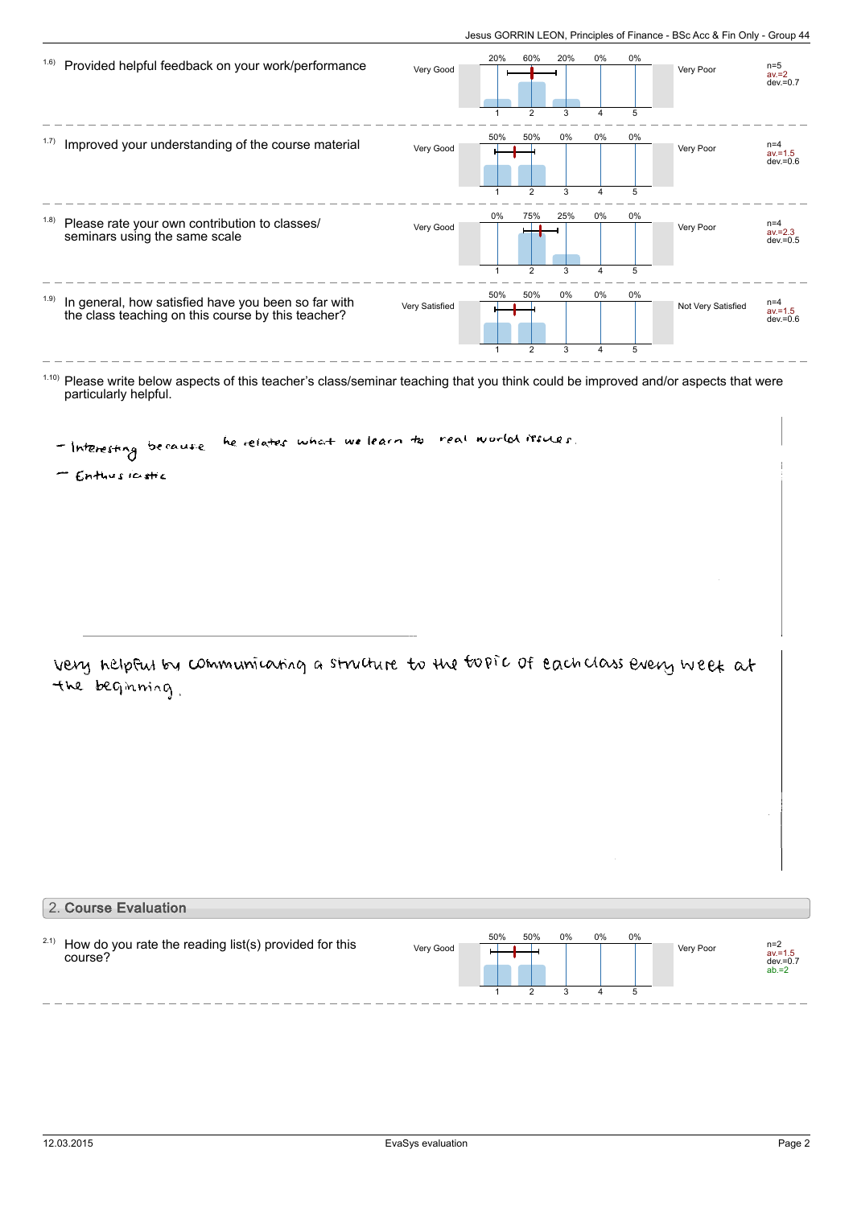| 1.6)  | Provided helpful feedback on your work/performance                                                        | Very Good      | 20%                   | 60%           | 20%      | 0%                      | 0%      | Very Poor          | $n=5$<br>$av = 2$<br>$dev = 0.7$   |
|-------|-----------------------------------------------------------------------------------------------------------|----------------|-----------------------|---------------|----------|-------------------------|---------|--------------------|------------------------------------|
| 1.7)  | Improved your understanding of the course material                                                        | Very Good      | 50%                   | 50%           | 0%       | 4<br>$0\%$              | 5<br>0% | Very Poor          | $n=4$<br>$av = 1.5$<br>$dev = 0.6$ |
| (1.8) | Please rate your own contribution to classes/<br>seminars using the same scale                            | Very Good      | 1<br>$0\%$            | 2<br>75%      | 3<br>25% | $\overline{4}$<br>$0\%$ | 5<br>0% | Very Poor          | $n=4$<br>$av = 2.3$<br>$dev = 0.5$ |
| (1.9) | In general, how satisfied have you been so far with<br>the class teaching on this course by this teacher? | Very Satisfied | $\overline{1}$<br>50% | 2<br>50%      | 3<br>0%  | $\overline{4}$<br>0%    | 5<br>0% | Not Very Satisfied | $n=4$<br>$av = 1.5$<br>$dev = 0.6$ |
|       |                                                                                                           |                |                       | $\mathcal{P}$ | 3        |                         | 5       |                    |                                    |

 $1.10$ ) Please write below aspects of this teacher's class/seminar teaching that you think could be improved and/or aspects that were particularly helpful.

real world recues. he relates what we learn to - Interesting because

- Enthusiastic

very nelpful by communicating a structure to the topic of each class every week at the beginning.

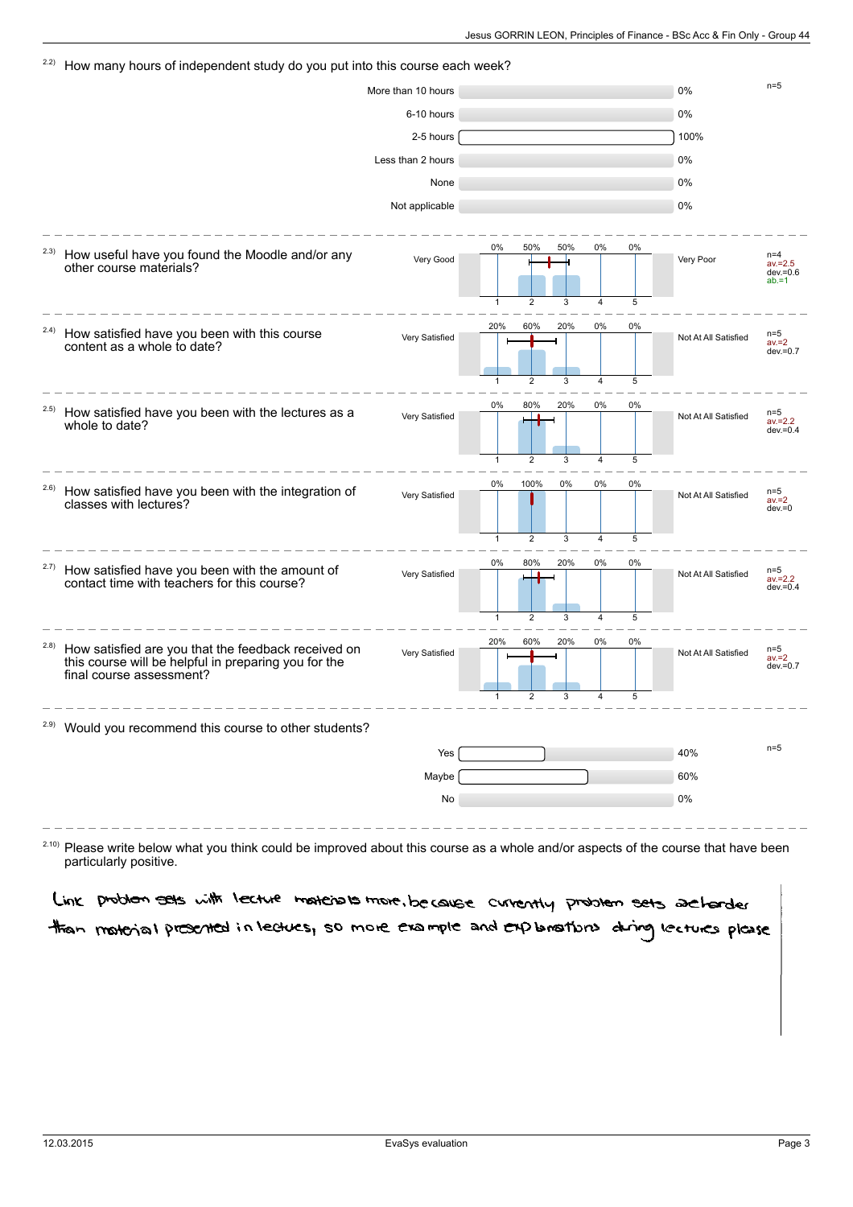### $22$  How many hours of independent study do you put into this course each week? More than 10 hours  $n=5$ 6-10 hours 0% 2-5 hours 100% Less than 2 hours **0%** and 0% None and the contract of the contract of the contract of the contract of the contract of the contract of the contract of the contract of the contract of the contract of the contract of the contract of the contract of the c Not applicable 0% How useful have you found the Moodle and/or any other course materials? 2.3) Very Good Very Poor n=4 av.=2.5 dev.=0.6 ab.=1  $0%$ 1 50% 2 50% 3 0% 4  $0%$ 5 How satisfied have you been with this course content as a whole to date? 2.4) Very Satisfied Not At All Satisfied n=5 av.=2 dev.=0.7 20% 1 60% 5 20% 3  $0%$ 4 0% 5 How satisfied have you been with the lectures as a whole to date? 2.5) Very Satisfied **Not At All Satisfied** Not At All Satisfied av.=2.2 dev.=0.4 0% 1 80% 2 20% 3 0% 4 0% 5 How satisfied have you been with the integration of classes with lectures? 2.6) Very Satisfied  $\begin{array}{|c|c|c|c|c|c|}\n\hline\n\text{V} & \text{O\%} & \text{O\%} & \text{O\%} & \text{O\%} \\
\hline\n\end{array}$  Not At All Satisfied  $\begin{array}{c|c|c|c|c} \text{n=5} & \text{n=5} & \text{n=1} & \text{n=1} \\
\hline\n\text{V} & \text{n=1} & \text{n=1} & \text{n=1} & \text{n=1} & \text{n=1} & \text{n=1} & \text{n=1} \\
\hline\n\end{array$ av.=2 dev.=0  $0%$ 1 100%  $\overline{2}$  $0%$ 3  $0%$ 4  $0%$ 5 How satisfied have you been with the amount of contact time with teachers for this course? 2.7) Very Satisfied **Not At All Satisfied** Not At All Satisfied av.=2.2 dev.=0.4 0% 1 80%  $\overline{2}$ 20% 3 0% 4 0% 5 How satisfied are you that the feedback received on this course will be helpful in preparing you for the final course assessment? 2.8) Very Satisfied **Not At All Satisfied** Not At All Satisfied av.=2 dev.=0.7 20% 1 60% 2 20% 3 0% 4 0% 5 <sup>2.9)</sup> Would you recommend this course to other students?  $Yes$   $10\%$   $n=5$ Maybe 60% No 0%

 $^{2.10}$  Please write below what you think could be improved about this course as a whole and/or aspects of the course that have been particularly positive.

Link problem sets with lecture materials more, because currently problem sets archarded than motorial presented in lectues, so more example and explanations during lectures please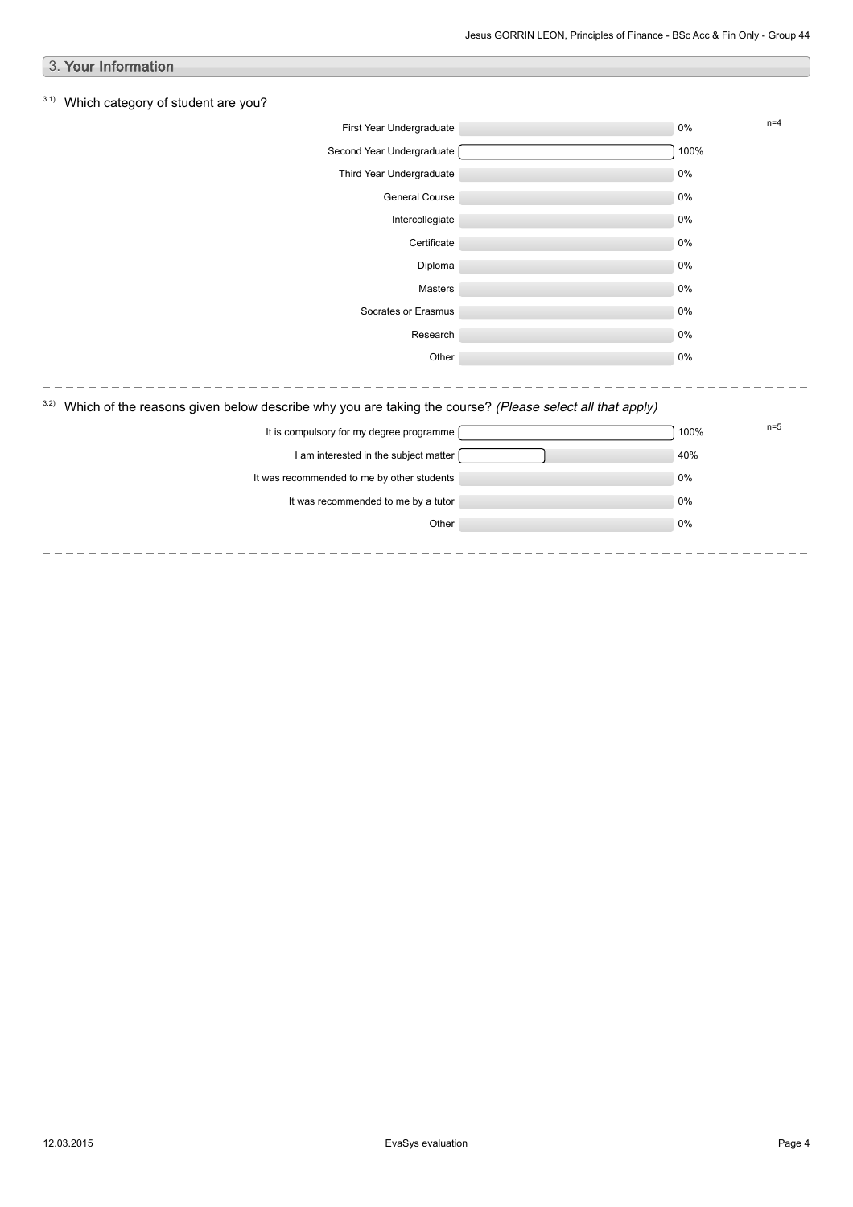| 3. Your Information                                                                                             |       |       |
|-----------------------------------------------------------------------------------------------------------------|-------|-------|
|                                                                                                                 |       |       |
| 3.1)<br>Which category of student are you?                                                                      |       |       |
| First Year Undergraduate                                                                                        | 0%    | $n=4$ |
| Second Year Undergraduate                                                                                       | 100%  |       |
| Third Year Undergraduate                                                                                        | $0\%$ |       |
| General Course                                                                                                  | 0%    |       |
| Intercollegiate                                                                                                 | 0%    |       |
| Certificate                                                                                                     | 0%    |       |
| Diploma                                                                                                         | $0\%$ |       |
| Masters                                                                                                         | 0%    |       |
| Socrates or Erasmus                                                                                             | 0%    |       |
| Research                                                                                                        | 0%    |       |
| Other                                                                                                           | $0\%$ |       |
|                                                                                                                 |       |       |
| 3.2)<br>Which of the reasons given below describe why you are taking the course? (Please select all that apply) |       |       |
| It is compulsory for my degree programme                                                                        | 100%  | $n=5$ |
| I am interested in the subject matter                                                                           | 40%   |       |
| It was recommended to me by other students                                                                      | 0%    |       |
| It was recommended to me by a tutor                                                                             | 0%    |       |
| Other                                                                                                           | $0\%$ |       |
|                                                                                                                 |       |       |